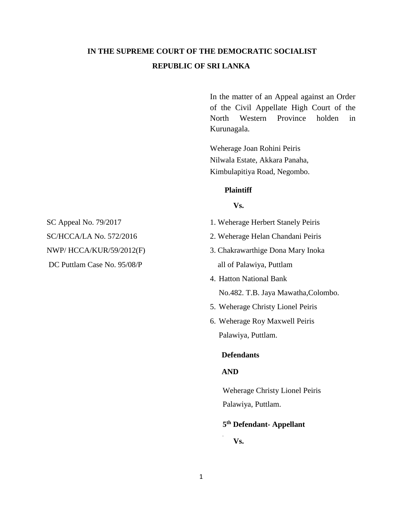# **IN THE SUPREME COURT OF THE DEMOCRATIC SOCIALIST REPUBLIC OF SRI LANKA**

In the matter of an Appeal against an Order of the Civil Appellate High Court of the North Western Province holden in Kurunagala.

Weherage Joan Rohini Peiris Nilwala Estate, Akkara Panaha, Kimbulapitiya Road, Negombo.

#### **Plaintiff**

### **Vs.**

- SC Appeal No. 79/2017 1. Weherage Herbert Stanely Peiris
	-
- DC Puttlam Case No. 95/08/P all of Palawiya, Puttlam
	- 4. Hatton National Bank No.482. T.B. Jaya Mawatha,Colombo.
	- 5. Weherage Christy Lionel Peiris
	- 6. Weherage Roy Maxwell Peiris Palawiya, Puttlam.

## **Defendants**

## **AND**

Weherage Christy Lionel Peiris Palawiya, Puttlam.

### **5 th Defendant- Appellant**

**Vs.**

SC/HCCA/LA No. 572/2016 2. Weherage Helan Chandani Peiris NWP/ HCCA/KUR/59/2012(F) 3. Chakrawarthige Dona Mary Inoka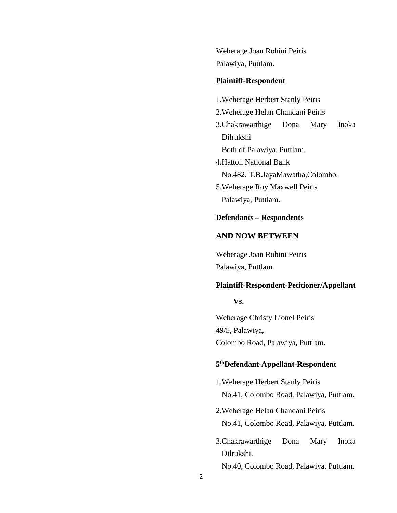Weherage Joan Rohini Peiris Palawiya, Puttlam.

#### **Plaintiff-Respondent**

- 1.Weherage Herbert Stanly Peiris
- 2.Weherage Helan Chandani Peiris
- 3.Chakrawarthige Dona Mary Inoka Dilrukshi Both of Palawiya, Puttlam.
- 4.Hatton National Bank No.482. T.B.JayaMawatha,Colombo.
- 5.Weherage Roy Maxwell Peiris Palawiya, Puttlam.

### **Defendants – Respondents**

# **AND NOW BETWEEN**

Weherage Joan Rohini Peiris Palawiya, Puttlam.

### **Plaintiff-Respondent-Petitioner/Appellant**

#### **Vs.**

Weherage Christy Lionel Peiris 49/5, Palawiya, Colombo Road, Palawiya, Puttlam.

### **5 thDefendant-Appellant-Respondent**

- 1.Weherage Herbert Stanly Peiris No.41, Colombo Road, Palawiya, Puttlam.
- 2.Weherage Helan Chandani Peiris No.41, Colombo Road, Palawiya, Puttlam.
- 3.Chakrawarthige Dona Mary Inoka Dilrukshi.

No.40, Colombo Road, Palawiya, Puttlam.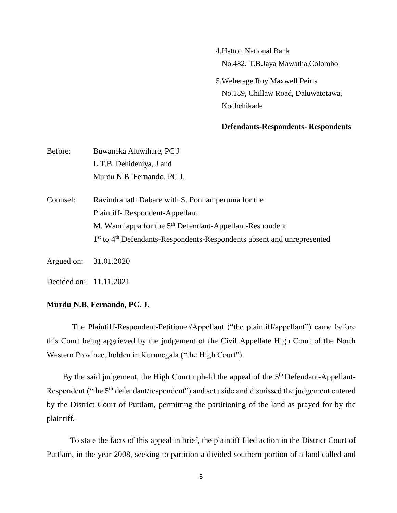- 4.Hatton National Bank No.482. T.B.Jaya Mawatha,Colombo
- 5.Weherage Roy Maxwell Peiris No.189, Chillaw Road, Daluwatotawa, Kochchikade

#### **Defendants-Respondents- Respondents**

| Before:    | Buwaneka Aluwihare, PC J                                                                       |
|------------|------------------------------------------------------------------------------------------------|
|            | L.T.B. Dehideniya, J and                                                                       |
|            | Murdu N.B. Fernando, PC J.                                                                     |
| Counsel:   | Ravindranath Dabare with S. Ponnamperuma for the                                               |
|            | Plaintiff-Respondent-Appellant                                                                 |
|            | M. Wanniappa for the 5 <sup>th</sup> Defendant-Appellant-Respondent                            |
|            | 1 <sup>st</sup> to 4 <sup>th</sup> Defendants-Respondents-Respondents absent and unrepresented |
| Argued on: | 31.01.2020                                                                                     |

Decided on: 11.11.2021

### **Murdu N.B. Fernando, PC. J.**

The Plaintiff-Respondent-Petitioner/Appellant ("the plaintiff/appellant") came before this Court being aggrieved by the judgement of the Civil Appellate High Court of the North Western Province, holden in Kurunegala ("the High Court").

By the said judgement, the High Court upheld the appeal of the  $5<sup>th</sup>$  Defendant-Appellant-Respondent ("the 5<sup>th</sup> defendant/respondent") and set aside and dismissed the judgement entered by the District Court of Puttlam, permitting the partitioning of the land as prayed for by the plaintiff.

To state the facts of this appeal in brief, the plaintiff filed action in the District Court of Puttlam, in the year 2008, seeking to partition a divided southern portion of a land called and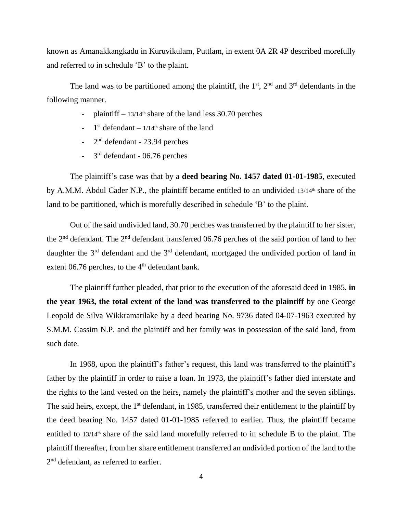known as Amanakkangkadu in Kuruvikulam, Puttlam, in extent 0A 2R 4P described morefully and referred to in schedule 'B' to the plaint.

The land was to be partitioned among the plaintiff, the  $1<sup>st</sup>$ ,  $2<sup>nd</sup>$  and  $3<sup>rd</sup>$  defendants in the following manner.

- plaintiff  $13/14$ <sup>th</sup> share of the land less 30.70 perches
- $-1$ <sup>st</sup> defendant  $-1/14$ <sup>th</sup> share of the land
- $-2<sup>nd</sup>$  defendant  $-23.94$  perches
- $-3<sup>rd</sup>$  defendant 06.76 perches

The plaintiff's case was that by a **deed bearing No. 1457 dated 01-01-1985**, executed by A.M.M. Abdul Cader N.P., the plaintiff became entitled to an undivided  $13/14<sup>th</sup>$  share of the land to be partitioned, which is morefully described in schedule 'B' to the plaint.

Out of the said undivided land, 30.70 perches was transferred by the plaintiff to her sister, the 2nd defendant. The 2nd defendant transferred 06.76 perches of the said portion of land to her daughter the 3<sup>rd</sup> defendant and the 3<sup>rd</sup> defendant, mortgaged the undivided portion of land in extent 06.76 perches, to the  $4<sup>th</sup>$  defendant bank.

The plaintiff further pleaded, that prior to the execution of the aforesaid deed in 1985, **in the year 1963, the total extent of the land was transferred to the plaintiff** by one George Leopold de Silva Wikkramatilake by a deed bearing No. 9736 dated 04-07-1963 executed by S.M.M. Cassim N.P. and the plaintiff and her family was in possession of the said land, from such date.

In 1968, upon the plaintiff's father's request, this land was transferred to the plaintiff's father by the plaintiff in order to raise a loan. In 1973, the plaintiff's father died interstate and the rights to the land vested on the heirs, namely the plaintiff's mother and the seven siblings. The said heirs, except, the 1<sup>st</sup> defendant, in 1985, transferred their entitlement to the plaintiff by the deed bearing No. 1457 dated 01-01-1985 referred to earlier. Thus, the plaintiff became entitled to  $13/14<sup>th</sup>$  share of the said land morefully referred to in schedule B to the plaint. The plaintiff thereafter, from her share entitlement transferred an undivided portion of the land to the 2<sup>nd</sup> defendant, as referred to earlier.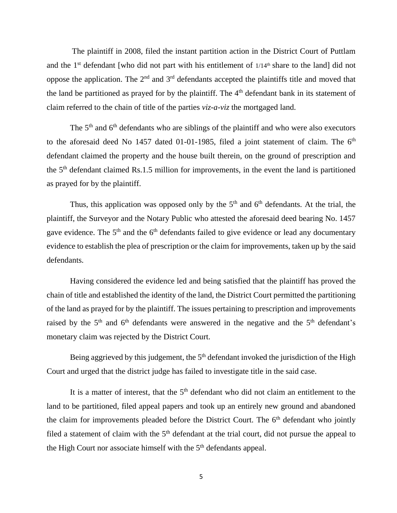The plaintiff in 2008, filed the instant partition action in the District Court of Puttlam and the  $1<sup>st</sup>$  defendant [who did not part with his entitlement of  $1/14<sup>th</sup>$  share to the land] did not oppose the application. The  $2<sup>nd</sup>$  and  $3<sup>rd</sup>$  defendants accepted the plaintiffs title and moved that the land be partitioned as prayed for by the plaintiff. The 4<sup>th</sup> defendant bank in its statement of claim referred to the chain of title of the parties *viz-a-viz* the mortgaged land.

The  $5<sup>th</sup>$  and  $6<sup>th</sup>$  defendants who are siblings of the plaintiff and who were also executors to the aforesaid deed No 1457 dated 01-01-1985, filed a joint statement of claim. The  $6<sup>th</sup>$ defendant claimed the property and the house built therein, on the ground of prescription and the 5th defendant claimed Rs.1.5 million for improvements, in the event the land is partitioned as prayed for by the plaintiff.

Thus, this application was opposed only by the  $5<sup>th</sup>$  and  $6<sup>th</sup>$  defendants. At the trial, the plaintiff, the Surveyor and the Notary Public who attested the aforesaid deed bearing No. 1457 gave evidence. The 5<sup>th</sup> and the 6<sup>th</sup> defendants failed to give evidence or lead any documentary evidence to establish the plea of prescription or the claim for improvements, taken up by the said defendants.

Having considered the evidence led and being satisfied that the plaintiff has proved the chain of title and established the identity of the land, the District Court permitted the partitioning of the land as prayed for by the plaintiff. The issues pertaining to prescription and improvements raised by the  $5<sup>th</sup>$  and  $6<sup>th</sup>$  defendants were answered in the negative and the  $5<sup>th</sup>$  defendant's monetary claim was rejected by the District Court.

Being aggrieved by this judgement, the  $5<sup>th</sup>$  defendant invoked the jurisdiction of the High Court and urged that the district judge has failed to investigate title in the said case.

It is a matter of interest, that the  $5<sup>th</sup>$  defendant who did not claim an entitlement to the land to be partitioned, filed appeal papers and took up an entirely new ground and abandoned the claim for improvements pleaded before the District Court. The  $6<sup>th</sup>$  defendant who jointly filed a statement of claim with the  $5<sup>th</sup>$  defendant at the trial court, did not pursue the appeal to the High Court nor associate himself with the  $5<sup>th</sup>$  defendants appeal.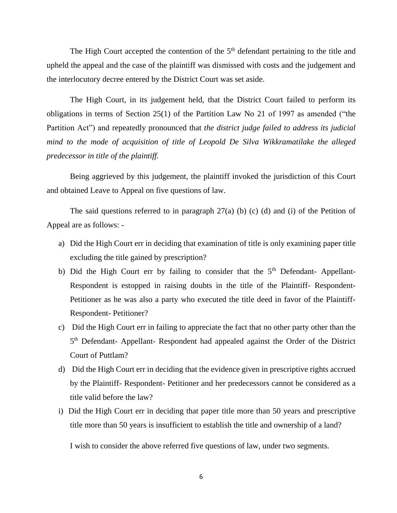The High Court accepted the contention of the 5<sup>th</sup> defendant pertaining to the title and upheld the appeal and the case of the plaintiff was dismissed with costs and the judgement and the interlocutory decree entered by the District Court was set aside.

The High Court, in its judgement held, that the District Court failed to perform its obligations in terms of Section 25(1) of the Partition Law No 21 of 1997 as amended ("the Partition Act") and repeatedly pronounced that *the district judge failed to address its judicial mind to the mode of acquisition of title of Leopold De Silva Wikkramatilake the alleged predecessor in title of the plaintiff.*

Being aggrieved by this judgement, the plaintiff invoked the jurisdiction of this Court and obtained Leave to Appeal on five questions of law.

The said questions referred to in paragraph  $27(a)$  (b) (c) (d) and (i) of the Petition of Appeal are as follows: -

- a) Did the High Court err in deciding that examination of title is only examining paper title excluding the title gained by prescription?
- b) Did the High Court err by failing to consider that the  $5<sup>th</sup>$  Defendant- Appellant-Respondent is estopped in raising doubts in the title of the Plaintiff- Respondent-Petitioner as he was also a party who executed the title deed in favor of the Plaintiff-Respondent- Petitioner?
- c) Did the High Court err in failing to appreciate the fact that no other party other than the 5<sup>th</sup> Defendant- Appellant- Respondent had appealed against the Order of the District Court of Puttlam?
- d) Did the High Court err in deciding that the evidence given in prescriptive rights accrued by the Plaintiff- Respondent- Petitioner and her predecessors cannot be considered as a title valid before the law?
- i) Did the High Court err in deciding that paper title more than 50 years and prescriptive title more than 50 years is insufficient to establish the title and ownership of a land?

I wish to consider the above referred five questions of law, under two segments.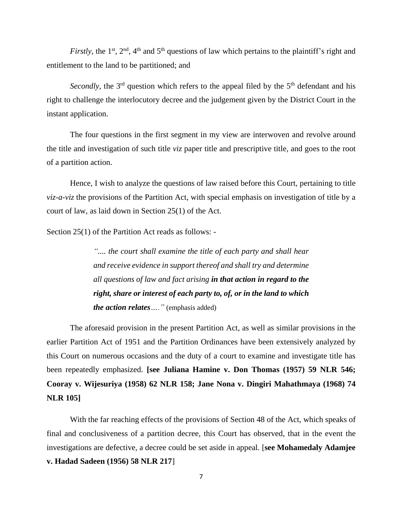*Firstly*, the 1<sup>st</sup>, 2<sup>nd</sup>, 4<sup>th</sup> and 5<sup>th</sup> questions of law which pertains to the plaintiff's right and entitlement to the land to be partitioned; and

*Secondly*, the 3<sup>rd</sup> question which refers to the appeal filed by the 5<sup>th</sup> defendant and his right to challenge the interlocutory decree and the judgement given by the District Court in the instant application.

The four questions in the first segment in my view are interwoven and revolve around the title and investigation of such title *viz* paper title and prescriptive title, and goes to the root of a partition action.

Hence, I wish to analyze the questions of law raised before this Court, pertaining to title *viz-a-viz* the provisions of the Partition Act, with special emphasis on investigation of title by a court of law, as laid down in Section 25(1) of the Act.

Section 25(1) of the Partition Act reads as follows: -

*".... the court shall examine the title of each party and shall hear and receive evidence in support thereof and shall try and determine all questions of law and fact arising in that action in regard to the right, share or interest of each party to, of, or in the land to which the action relates…."* (emphasis added)

The aforesaid provision in the present Partition Act, as well as similar provisions in the earlier Partition Act of 1951 and the Partition Ordinances have been extensively analyzed by this Court on numerous occasions and the duty of a court to examine and investigate title has been repeatedly emphasized. **[see Juliana Hamine v. Don Thomas (1957) 59 NLR 546; Cooray v. Wijesuriya (1958) 62 NLR 158; Jane Nona v. Dingiri Mahathmaya (1968) 74 NLR 105]**

With the far reaching effects of the provisions of Section 48 of the Act, which speaks of final and conclusiveness of a partition decree, this Court has observed, that in the event the investigations are defective, a decree could be set aside in appeal. [**see Mohamedaly Adamjee v. Hadad Sadeen (1956) 58 NLR 217**]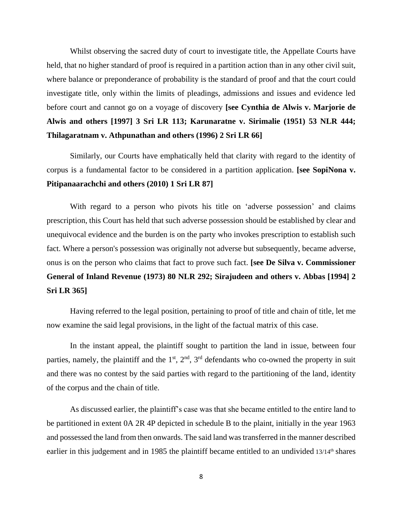Whilst observing the sacred duty of court to investigate title, the Appellate Courts have held, that no higher standard of proof is required in a partition action than in any other civil suit, where balance or preponderance of probability is the standard of proof and that the court could investigate title, only within the limits of pleadings, admissions and issues and evidence led before court and cannot go on a voyage of discovery **[see Cynthia de Alwis v. Marjorie de Alwis and others [1997] 3 Sri LR 113; Karunaratne v. Sirimalie (1951) 53 NLR 444; Thilagaratnam v. Athpunathan and others (1996) 2 Sri LR 66]**

Similarly, our Courts have emphatically held that clarity with regard to the identity of corpus is a fundamental factor to be considered in a partition application. **[see SopiNona v. Pitipanaarachchi and others (2010) 1 Sri LR 87]**

With regard to a person who pivots his title on 'adverse possession' and claims prescription, this Court has held that such adverse possession should be established by clear and unequivocal evidence and the burden is on the party who invokes prescription to establish such fact. Where a person's possession was originally not adverse but subsequently, became adverse, onus is on the person who claims that fact to prove such fact. **[see De Silva v. Commissioner General of Inland Revenue (1973) 80 NLR 292; Sirajudeen and others v. Abbas [1994] 2 Sri LR 365]**

Having referred to the legal position, pertaining to proof of title and chain of title, let me now examine the said legal provisions, in the light of the factual matrix of this case.

In the instant appeal, the plaintiff sought to partition the land in issue, between four parties, namely, the plaintiff and the  $1<sup>st</sup>$ ,  $2<sup>nd</sup>$ ,  $3<sup>rd</sup>$  defendants who co-owned the property in suit and there was no contest by the said parties with regard to the partitioning of the land, identity of the corpus and the chain of title.

As discussed earlier, the plaintiff's case was that she became entitled to the entire land to be partitioned in extent 0A 2R 4P depicted in schedule B to the plaint, initially in the year 1963 and possessed the land from then onwards. The said land was transferred in the manner described earlier in this judgement and in 1985 the plaintiff became entitled to an undivided 13/14<sup>th</sup> shares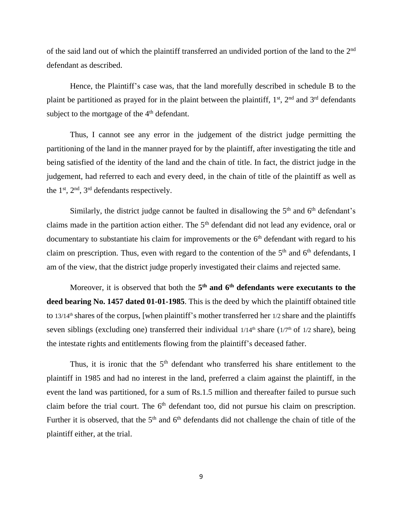of the said land out of which the plaintiff transferred an undivided portion of the land to the 2<sup>nd</sup> defendant as described.

Hence, the Plaintiff's case was, that the land morefully described in schedule B to the plaint be partitioned as prayed for in the plaint between the plaintiff,  $1<sup>st</sup>$ ,  $2<sup>nd</sup>$  and  $3<sup>rd</sup>$  defendants subject to the mortgage of the 4<sup>th</sup> defendant.

Thus, I cannot see any error in the judgement of the district judge permitting the partitioning of the land in the manner prayed for by the plaintiff, after investigating the title and being satisfied of the identity of the land and the chain of title. In fact, the district judge in the judgement, had referred to each and every deed, in the chain of title of the plaintiff as well as the 1st, 2nd, 3rd defendants respectively.

Similarly, the district judge cannot be faulted in disallowing the  $5<sup>th</sup>$  and  $6<sup>th</sup>$  defendant's claims made in the partition action either. The 5th defendant did not lead any evidence, oral or documentary to substantiate his claim for improvements or the  $6<sup>th</sup>$  defendant with regard to his claim on prescription. Thus, even with regard to the contention of the  $5<sup>th</sup>$  and  $6<sup>th</sup>$  defendants, I am of the view, that the district judge properly investigated their claims and rejected same.

Moreover, it is observed that both the **5 th and 6th defendants were executants to the deed bearing No. 1457 dated 01-01-1985**. This is the deed by which the plaintiff obtained title to 13/14th shares of the corpus, [when plaintiff's mother transferred her 1/2 share and the plaintiffs seven siblings (excluding one) transferred their individual  $1/14<sup>th</sup>$  share ( $1/7<sup>th</sup>$  of  $1/2$  share), being the intestate rights and entitlements flowing from the plaintiff's deceased father.

Thus, it is ironic that the  $5<sup>th</sup>$  defendant who transferred his share entitlement to the plaintiff in 1985 and had no interest in the land, preferred a claim against the plaintiff, in the event the land was partitioned, for a sum of Rs.1.5 million and thereafter failed to pursue such claim before the trial court. The  $6<sup>th</sup>$  defendant too, did not pursue his claim on prescription. Further it is observed, that the  $5<sup>th</sup>$  and  $6<sup>th</sup>$  defendants did not challenge the chain of title of the plaintiff either, at the trial.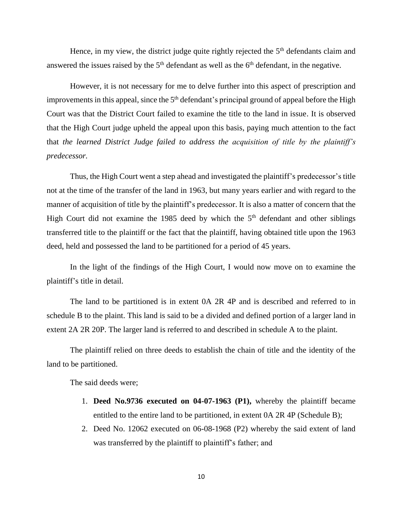Hence, in my view, the district judge quite rightly rejected the  $5<sup>th</sup>$  defendants claim and answered the issues raised by the  $5<sup>th</sup>$  defendant as well as the  $6<sup>th</sup>$  defendant, in the negative.

However, it is not necessary for me to delve further into this aspect of prescription and improvements in this appeal, since the  $5<sup>th</sup>$  defendant's principal ground of appeal before the High Court was that the District Court failed to examine the title to the land in issue. It is observed that the High Court judge upheld the appeal upon this basis, paying much attention to the fact that *the learned District Judge failed to address the acquisition of title by the plaintiff's predecessor.*

Thus, the High Court went a step ahead and investigated the plaintiff's predecessor's title not at the time of the transfer of the land in 1963, but many years earlier and with regard to the manner of acquisition of title by the plaintiff's predecessor. It is also a matter of concern that the High Court did not examine the 1985 deed by which the  $5<sup>th</sup>$  defendant and other siblings transferred title to the plaintiff or the fact that the plaintiff, having obtained title upon the 1963 deed, held and possessed the land to be partitioned for a period of 45 years.

In the light of the findings of the High Court, I would now move on to examine the plaintiff's title in detail.

The land to be partitioned is in extent 0A 2R 4P and is described and referred to in schedule B to the plaint. This land is said to be a divided and defined portion of a larger land in extent 2A 2R 20P. The larger land is referred to and described in schedule A to the plaint.

The plaintiff relied on three deeds to establish the chain of title and the identity of the land to be partitioned.

The said deeds were;

- 1. **Deed No.9736 executed on 04-07-1963 (P1),** whereby the plaintiff became entitled to the entire land to be partitioned, in extent 0A 2R 4P (Schedule B);
- 2. Deed No. 12062 executed on 06-08-1968 (P2) whereby the said extent of land was transferred by the plaintiff to plaintiff's father; and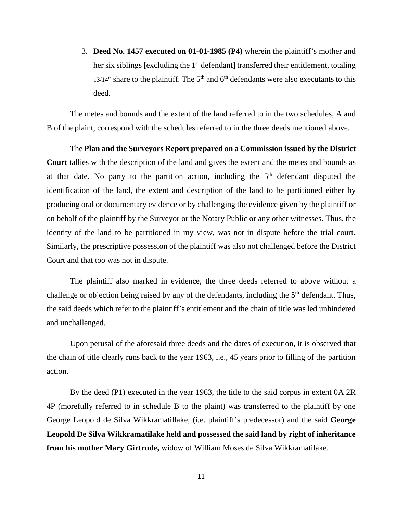3. **Deed No. 1457 executed on 01-01-1985 (P4)** wherein the plaintiff's mother and her six siblings [excluding the 1<sup>st</sup> defendant] transferred their entitlement, totaling  $13/14<sup>th</sup>$  share to the plaintiff. The 5<sup>th</sup> and 6<sup>th</sup> defendants were also executants to this deed.

The metes and bounds and the extent of the land referred to in the two schedules, A and B of the plaint, correspond with the schedules referred to in the three deeds mentioned above.

The **Plan and the Surveyors Report prepared on a Commission issued by the District Court** tallies with the description of the land and gives the extent and the metes and bounds as at that date. No party to the partition action, including the  $5<sup>th</sup>$  defendant disputed the identification of the land, the extent and description of the land to be partitioned either by producing oral or documentary evidence or by challenging the evidence given by the plaintiff or on behalf of the plaintiff by the Surveyor or the Notary Public or any other witnesses. Thus, the identity of the land to be partitioned in my view, was not in dispute before the trial court. Similarly, the prescriptive possession of the plaintiff was also not challenged before the District Court and that too was not in dispute.

The plaintiff also marked in evidence, the three deeds referred to above without a challenge or objection being raised by any of the defendants, including the 5<sup>th</sup> defendant. Thus, the said deeds which refer to the plaintiff's entitlement and the chain of title was led unhindered and unchallenged.

Upon perusal of the aforesaid three deeds and the dates of execution, it is observed that the chain of title clearly runs back to the year 1963, i.e., 45 years prior to filling of the partition action.

By the deed (P1) executed in the year 1963, the title to the said corpus in extent 0A 2R 4P (morefully referred to in schedule B to the plaint) was transferred to the plaintiff by one George Leopold de Silva Wikkramatillake, (i.e. plaintiff's predecessor) and the said **George Leopold De Silva Wikkramatilake held and possessed the said land by right of inheritance from his mother Mary Girtrude,** widow of William Moses de Silva Wikkramatilake.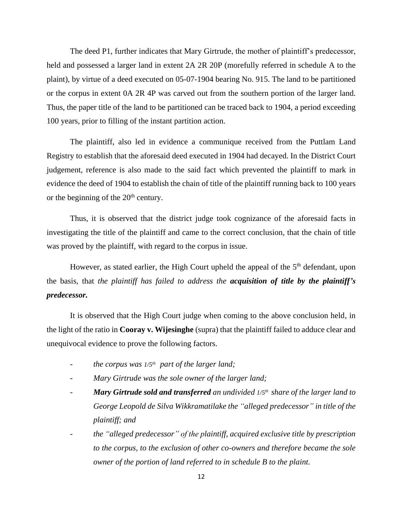The deed P1, further indicates that Mary Girtrude, the mother of plaintiff's predecessor, held and possessed a larger land in extent 2A 2R 20P (morefully referred in schedule A to the plaint), by virtue of a deed executed on 05-07-1904 bearing No. 915. The land to be partitioned or the corpus in extent 0A 2R 4P was carved out from the southern portion of the larger land. Thus, the paper title of the land to be partitioned can be traced back to 1904, a period exceeding 100 years, prior to filling of the instant partition action.

The plaintiff, also led in evidence a communique received from the Puttlam Land Registry to establish that the aforesaid deed executed in 1904 had decayed. In the District Court judgement, reference is also made to the said fact which prevented the plaintiff to mark in evidence the deed of 1904 to establish the chain of title of the plaintiff running back to 100 years or the beginning of the  $20<sup>th</sup>$  century.

Thus, it is observed that the district judge took cognizance of the aforesaid facts in investigating the title of the plaintiff and came to the correct conclusion, that the chain of title was proved by the plaintiff, with regard to the corpus in issue.

However, as stated earlier, the High Court upheld the appeal of the  $5<sup>th</sup>$  defendant, upon the basis, that *the plaintiff has failed to address the acquisition of title by the plaintiff's predecessor.*

It is observed that the High Court judge when coming to the above conclusion held, in the light of the ratio in **Cooray v. Wijesinghe** (supra) that the plaintiff failed to adduce clear and unequivocal evidence to prove the following factors.

- *the corpus was 1/5th part of the larger land;*
- *Mary Girtrude was the sole owner of the larger land;*
- *Mary Girtrude sold and transferred an undivided 1/5th share of the larger land to George Leopold de Silva Wikkramatilake the "alleged predecessor" in title of the plaintiff; and*
- *the "alleged predecessor" of the plaintiff, acquired exclusive title by prescription to the corpus, to the exclusion of other co-owners and therefore became the sole owner of the portion of land referred to in schedule B to the plaint.*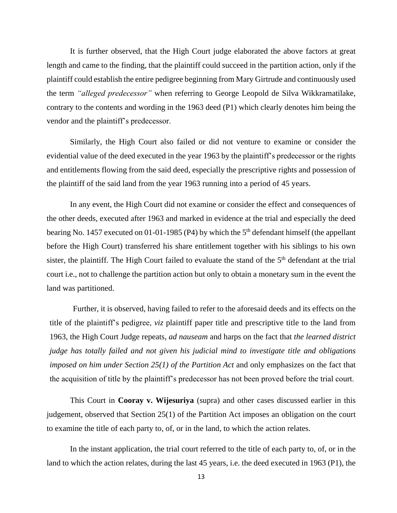It is further observed, that the High Court judge elaborated the above factors at great length and came to the finding, that the plaintiff could succeed in the partition action, only if the plaintiff could establish the entire pedigree beginning from Mary Girtrude and continuously used the term *"alleged predecessor"* when referring to George Leopold de Silva Wikkramatilake, contrary to the contents and wording in the 1963 deed (P1) which clearly denotes him being the vendor and the plaintiff's predecessor.

Similarly, the High Court also failed or did not venture to examine or consider the evidential value of the deed executed in the year 1963 by the plaintiff's predecessor or the rights and entitlements flowing from the said deed, especially the prescriptive rights and possession of the plaintiff of the said land from the year 1963 running into a period of 45 years.

In any event, the High Court did not examine or consider the effect and consequences of the other deeds, executed after 1963 and marked in evidence at the trial and especially the deed bearing No. 1457 executed on 01-01-1985 (P4) by which the 5<sup>th</sup> defendant himself (the appellant before the High Court) transferred his share entitlement together with his siblings to his own sister, the plaintiff. The High Court failed to evaluate the stand of the  $5<sup>th</sup>$  defendant at the trial court i.e., not to challenge the partition action but only to obtain a monetary sum in the event the land was partitioned.

Further, it is observed, having failed to refer to the aforesaid deeds and its effects on the title of the plaintiff's pedigree, *viz* plaintiff paper title and prescriptive title to the land from 1963, the High Court Judge repeats, *ad nauseam* and harps on the fact that *the learned district judge has totally failed and not given his judicial mind to investigate title and obligations imposed on him under Section 25(1) of the Partition Act* and only emphasizes on the fact that the acquisition of title by the plaintiff's predecessor has not been proved before the trial court.

This Court in **Cooray v. Wijesuriya** (supra) and other cases discussed earlier in this judgement, observed that Section 25(1) of the Partition Act imposes an obligation on the court to examine the title of each party to, of, or in the land, to which the action relates.

In the instant application, the trial court referred to the title of each party to, of, or in the land to which the action relates, during the last 45 years, i.e. the deed executed in 1963 (P1), the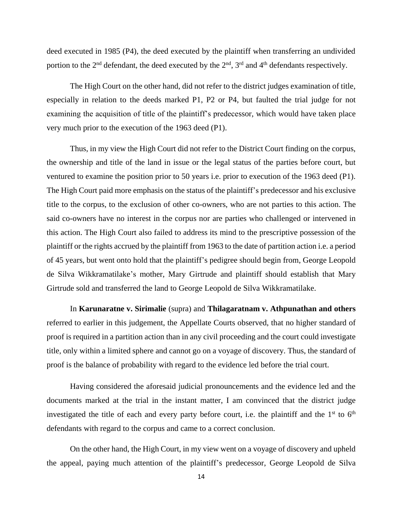deed executed in 1985 (P4), the deed executed by the plaintiff when transferring an undivided portion to the  $2<sup>nd</sup>$  defendant, the deed executed by the  $2<sup>nd</sup>$ ,  $3<sup>rd</sup>$  and  $4<sup>th</sup>$  defendants respectively.

The High Court on the other hand, did not refer to the district judges examination of title, especially in relation to the deeds marked P1, P2 or P4, but faulted the trial judge for not examining the acquisition of title of the plaintiff's predecessor, which would have taken place very much prior to the execution of the 1963 deed (P1).

Thus, in my view the High Court did not refer to the District Court finding on the corpus, the ownership and title of the land in issue or the legal status of the parties before court, but ventured to examine the position prior to 50 years i.e. prior to execution of the 1963 deed (P1). The High Court paid more emphasis on the status of the plaintiff's predecessor and his exclusive title to the corpus, to the exclusion of other co-owners, who are not parties to this action. The said co-owners have no interest in the corpus nor are parties who challenged or intervened in this action. The High Court also failed to address its mind to the prescriptive possession of the plaintiff or the rights accrued by the plaintiff from 1963 to the date of partition action i.e. a period of 45 years, but went onto hold that the plaintiff's pedigree should begin from, George Leopold de Silva Wikkramatilake's mother, Mary Girtrude and plaintiff should establish that Mary Girtrude sold and transferred the land to George Leopold de Silva Wikkramatilake.

 In **Karunaratne v. Sirimalie** (supra) and **Thilagaratnam v. Athpunathan and others** referred to earlier in this judgement, the Appellate Courts observed, that no higher standard of proof is required in a partition action than in any civil proceeding and the court could investigate title, only within a limited sphere and cannot go on a voyage of discovery. Thus, the standard of proof is the balance of probability with regard to the evidence led before the trial court.

Having considered the aforesaid judicial pronouncements and the evidence led and the documents marked at the trial in the instant matter, I am convinced that the district judge investigated the title of each and every party before court, i.e. the plaintiff and the  $1<sup>st</sup>$  to  $6<sup>th</sup>$ defendants with regard to the corpus and came to a correct conclusion.

On the other hand, the High Court, in my view went on a voyage of discovery and upheld the appeal, paying much attention of the plaintiff's predecessor, George Leopold de Silva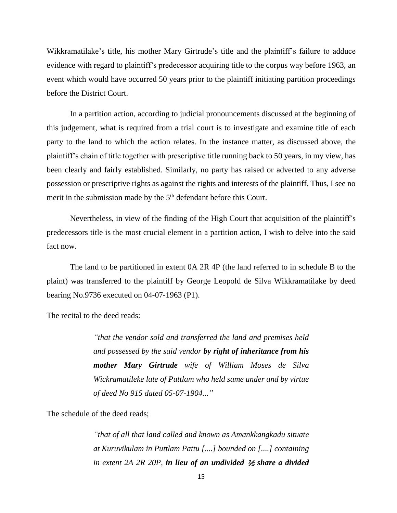Wikkramatilake's title, his mother Mary Girtrude's title and the plaintiff's failure to adduce evidence with regard to plaintiff's predecessor acquiring title to the corpus way before 1963, an event which would have occurred 50 years prior to the plaintiff initiating partition proceedings before the District Court.

In a partition action, according to judicial pronouncements discussed at the beginning of this judgement, what is required from a trial court is to investigate and examine title of each party to the land to which the action relates. In the instance matter, as discussed above, the plaintiff's chain of title together with prescriptive title running back to 50 years, in my view, has been clearly and fairly established. Similarly, no party has raised or adverted to any adverse possession or prescriptive rights as against the rights and interests of the plaintiff. Thus, I see no merit in the submission made by the 5<sup>th</sup> defendant before this Court.

Nevertheless, in view of the finding of the High Court that acquisition of the plaintiff's predecessors title is the most crucial element in a partition action, I wish to delve into the said fact now.

The land to be partitioned in extent 0A 2R 4P (the land referred to in schedule B to the plaint) was transferred to the plaintiff by George Leopold de Silva Wikkramatilake by deed bearing No.9736 executed on 04-07-1963 (P1).

The recital to the deed reads:

*"that the vendor sold and transferred the land and premises held and possessed by the said vendor by right of inheritance from his mother Mary Girtrude wife of William Moses de Silva Wickramatileke late of Puttlam who held same under and by virtue of deed No 915 dated 05-07-1904..."*

The schedule of the deed reads;

*"that of all that land called and known as Amankkangkadu situate at Kuruvikulam in Puttlam Pattu [....] bounded on [....] containing in extent 2A 2R 20P, in lieu of an undivided* ⅕ *share a divided*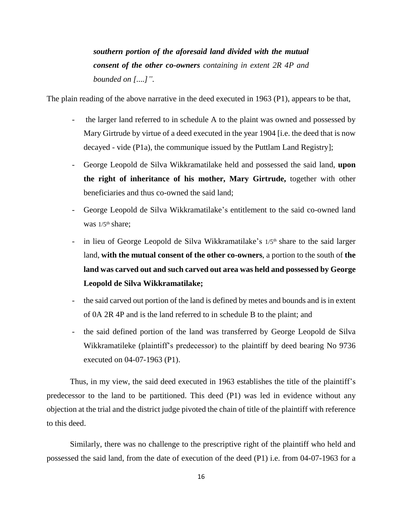*southern portion of the aforesaid land divided with the mutual consent of the other co-owners containing in extent 2R 4P and bounded on [....]".*

The plain reading of the above narrative in the deed executed in 1963 (P1), appears to be that,

- the larger land referred to in schedule A to the plaint was owned and possessed by Mary Girtrude by virtue of a deed executed in the year 1904 [i.e. the deed that is now decayed - vide (P1a), the communique issued by the Puttlam Land Registry];
- George Leopold de Silva Wikkramatilake held and possessed the said land, **upon the right of inheritance of his mother, Mary Girtrude,** together with other beneficiaries and thus co-owned the said land;
- George Leopold de Silva Wikkramatilake's entitlement to the said co-owned land was  $1/5$ <sup>th</sup> share:
- in lieu of George Leopold de Silva Wikkramatilake's  $1/5<sup>th</sup>$  share to the said larger land, **with the mutual consent of the other co-owners**, a portion to the south of **the land was carved out and such carved out area was held and possessed by George Leopold de Silva Wikkramatilake;**
- the said carved out portion of the land is defined by metes and bounds and is in extent of 0A 2R 4P and is the land referred to in schedule B to the plaint; and
- the said defined portion of the land was transferred by George Leopold de Silva Wikkramatileke (plaintiff's predecessor) to the plaintiff by deed bearing No 9736 executed on 04-07-1963 (P1).

Thus, in my view, the said deed executed in 1963 establishes the title of the plaintiff's predecessor to the land to be partitioned. This deed (P1) was led in evidence without any objection at the trial and the district judge pivoted the chain of title of the plaintiff with reference to this deed.

Similarly, there was no challenge to the prescriptive right of the plaintiff who held and possessed the said land, from the date of execution of the deed (P1) i.e. from 04-07-1963 for a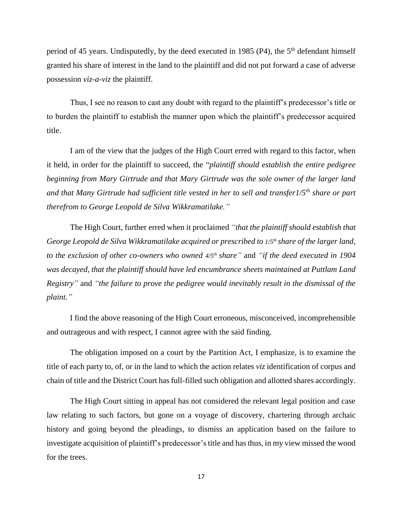period of 45 years. Undisputedly, by the deed executed in 1985 (P4), the  $5<sup>th</sup>$  defendant himself granted his share of interest in the land to the plaintiff and did not put forward a case of adverse possession *viz-a-viz* the plaintiff.

Thus, I see no reason to cast any doubt with regard to the plaintiff's predecessor's title or to burden the plaintiff to establish the manner upon which the plaintiff's predecessor acquired title.

I am of the view that the judges of the High Court erred with regard to this factor, when it held, in order for the plaintiff to succeed, the "*plaintiff should establish the entire pedigree beginning from Mary Girtrude and that Mary Girtrude was the sole owner of the larger land and that Many Girtrude had sufficient title vested in her to sell and transfer1/5th share or part therefrom to George Leopold de Silva Wikkramatilake."*

The High Court, further erred when it proclaimed *"that the plaintiff should establish that George Leopold de Silva Wikkramatilake acquired or prescribed to 1/5th share of the larger land, to the exclusion of other co-owners who owned 4/5th share"* and *"if the deed executed in 1904 was decayed, that the plaintiff should have led encumbrance sheets maintained at Puttlam Land Registry"* and *"the failure to prove the pedigree would inevitably result in the dismissal of the plaint."*

I find the above reasoning of the High Court erroneous, misconceived, incomprehensible and outrageous and with respect, I cannot agree with the said finding.

The obligation imposed on a court by the Partition Act, I emphasize, is to examine the title of each party to, of, or in the land to which the action relates *viz* identification of corpus and chain of title and the District Court has full-filled such obligation and allotted shares accordingly.

The High Court sitting in appeal has not considered the relevant legal position and case law relating to such factors, but gone on a voyage of discovery, chartering through archaic history and going beyond the pleadings, to dismiss an application based on the failure to investigate acquisition of plaintiff's predecessor'stitle and has thus, in my view missed the wood for the trees.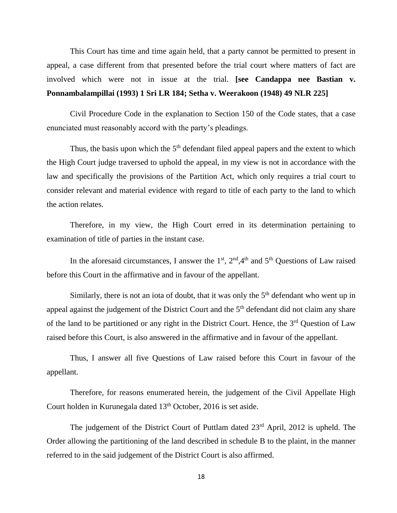This Court has time and time again held, that a party cannot be permitted to present in appeal, a case different from that presented before the trial court where matters of fact are involved which were not in issue at the trial. **[see Candappa nee Bastian v. Ponnambalampillai (1993) 1 Sri LR 184; Setha v. Weerakoon (1948) 49 NLR 225]**

Civil Procedure Code in the explanation to Section 150 of the Code states, that a case enunciated must reasonably accord with the party's pleadings.

Thus, the basis upon which the  $5<sup>th</sup>$  defendant filed appeal papers and the extent to which the High Court judge traversed to uphold the appeal, in my view is not in accordance with the law and specifically the provisions of the Partition Act, which only requires a trial court to consider relevant and material evidence with regard to title of each party to the land to which the action relates.

Therefore, in my view, the High Court erred in its determination pertaining to examination of title of parties in the instant case.

In the aforesaid circumstances, I answer the  $1<sup>st</sup>$ ,  $2<sup>nd</sup>$ ,  $4<sup>th</sup>$  and  $5<sup>th</sup>$  Questions of Law raised before this Court in the affirmative and in favour of the appellant.

Similarly, there is not an iota of doubt, that it was only the  $5<sup>th</sup>$  defendant who went up in appeal against the judgement of the District Court and the  $5<sup>th</sup>$  defendant did not claim any share of the land to be partitioned or any right in the District Court. Hence, the  $3<sup>rd</sup>$  Question of Law raised before this Court, is also answered in the affirmative and in favour of the appellant.

Thus, I answer all five Questions of Law raised before this Court in favour of the appellant.

Therefore, for reasons enumerated herein, the judgement of the Civil Appellate High Court holden in Kurunegala dated 13<sup>th</sup> October, 2016 is set aside.

The judgement of the District Court of Puttlam dated 23<sup>rd</sup> April, 2012 is upheld. The Order allowing the partitioning of the land described in schedule B to the plaint, in the manner referred to in the said judgement of the District Court is also affirmed.